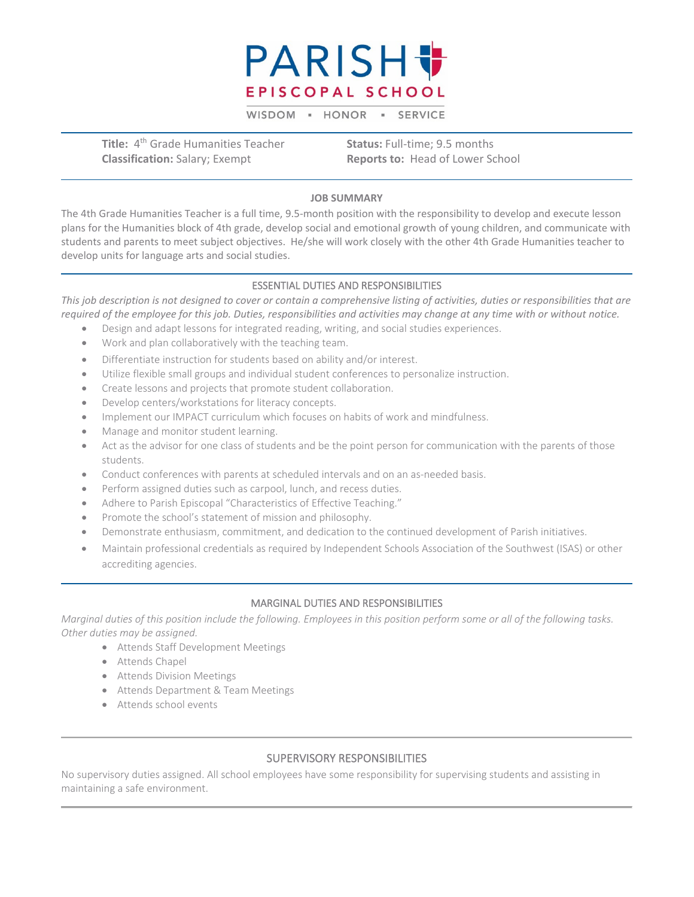

WISDOM - HONOR - SERVICE

**Title:** 4<sup>th</sup> Grade Humanities Teacher **Status:** Full-time; 9.5 months  **Classification:** Salary; Exempt **Reports to: Head of Lower School** 

#### **JOB SUMMARY**

The 4th Grade Humanities Teacher is a full time, 9.5-month position with the responsibility to develop and execute lesson plans for the Humanities block of 4th grade, develop social and emotional growth of young children, and communicate with students and parents to meet subject objectives. He/she will work closely with the other 4th Grade Humanities teacher to develop units for language arts and social studies.

#### ESSENTIAL DUTIES AND RESPONSIBILITIES

*This job description is not designed to cover or contain a comprehensive listing of activities, duties or responsibilities that are required of the employee for this job. Duties, responsibilities and activities may change at any time with or without notice.*

- Design and adapt lessons for integrated reading, writing, and social studies experiences.
- Work and plan collaboratively with the teaching team.
- Differentiate instruction for students based on ability and/or interest.
- Utilize flexible small groups and individual student conferences to personalize instruction.
- Create lessons and projects that promote student collaboration.
- Develop centers/workstations for literacy concepts.
- Implement our IMPACT curriculum which focuses on habits of work and mindfulness.
- Manage and monitor student learning.
- Act as the advisor for one class of students and be the point person for communication with the parents of those students.
- Conduct conferences with parents at scheduled intervals and on an as-needed basis.
- Perform assigned duties such as carpool, lunch, and recess duties.
- Adhere to Parish Episcopal "Characteristics of Effective Teaching."
- Promote the school's statement of mission and philosophy.
- Demonstrate enthusiasm, commitment, and dedication to the continued development of Parish initiatives.
- Maintain professional credentials as required by Independent Schools Association of the Southwest (ISAS) or other accrediting agencies.

#### MARGINAL DUTIES AND RESPONSIBILITIES

*Marginal duties of this position include the following. Employees in this position perform some or all of the following tasks. Other duties may be assigned.*

- Attends Staff Development Meetings
- Attends Chapel
- Attends Division Meetings
- Attends Department & Team Meetings
- Attends school events

#### SUPERVISORY RESPONSIBILITIES

No supervisory duties assigned. All school employees have some responsibility for supervising students and assisting in maintaining a safe environment.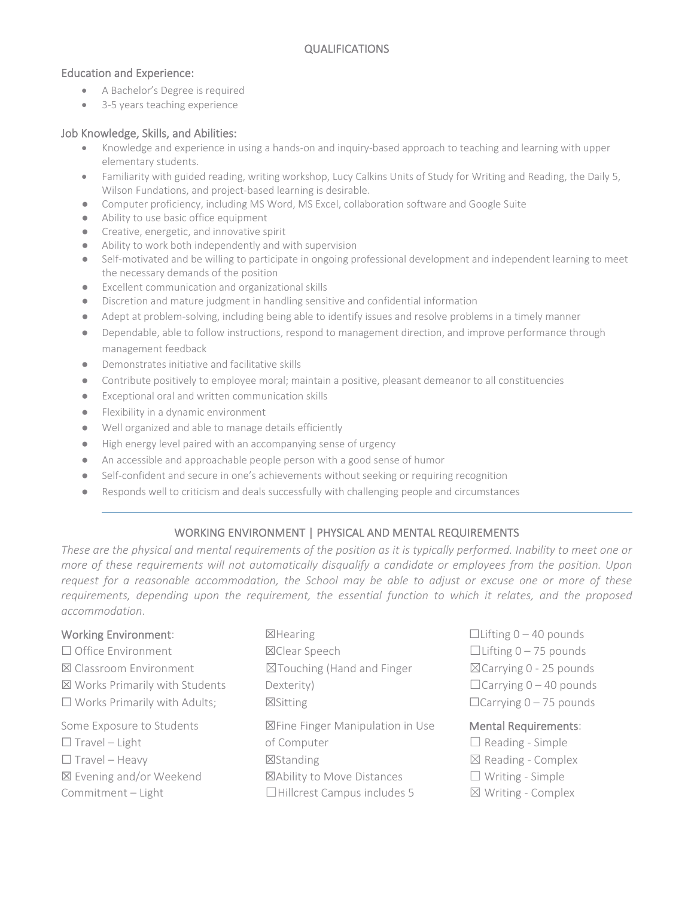## Education and Experience:

- A Bachelor's Degree is required
- 3-5 years teaching experience

## Job Knowledge, Skills, and Abilities:

- Knowledge and experience in using a hands-on and inquiry-based approach to teaching and learning with upper elementary students.
- Familiarity with guided reading, writing workshop, Lucy Calkins Units of Study for Writing and Reading, the Daily 5, Wilson Fundations, and project-based learning is desirable.
- Computer proficiency, including MS Word, MS Excel, collaboration software and Google Suite
- Ability to use basic office equipment
- Creative, energetic, and innovative spirit
- Ability to work both independently and with supervision
- Self-motivated and be willing to participate in ongoing professional development and independent learning to meet the necessary demands of the position
- Excellent communication and organizational skills
- Discretion and mature judgment in handling sensitive and confidential information
- Adept at problem-solving, including being able to identify issues and resolve problems in a timely manner
- Dependable, able to follow instructions, respond to management direction, and improve performance through management feedback
- Demonstrates initiative and facilitative skills
- Contribute positively to employee moral; maintain a positive, pleasant demeanor to all constituencies
- Exceptional oral and written communication skills
- Flexibility in a dynamic environment
- Well organized and able to manage details efficiently
- High energy level paired with an accompanying sense of urgency
- An accessible and approachable people person with a good sense of humor
- Self-confident and secure in one's achievements without seeking or requiring recognition
- Responds well to criticism and deals successfully with challenging people and circumstances

# WORKING ENVIRONMENT | PHYSICAL AND MENTAL REQUIREMENTS

*These are the physical and mental requirements of the position as it is typically performed. Inability to meet one or more of these requirements will not automatically disqualify a candidate or employees from the position. Upon request for a reasonable accommodation, the School may be able to adjust or excuse one or more of these requirements, depending upon the requirement, the essential function to which it relates, and the proposed accommodation*.

# Working Environment: ☒Hearing ☐Lifting 0 – 40 pounds ☐ Office Environment ☒Clear Speech ☐Lifting 0 – 75 pounds ☒ Classroom Environment ☒Touching (Hand and Finger ☒Carrying 0 - 25 pounds  $\boxtimes$  Works Primarily with Students Dexterity)  $\Box$ Carrying 0 – 40 pounds ☐ Works Primarily with Adults; ☒Sitting ☐Carrying 0 – 75 pounds Some Exposure to Students **NET ISSUE TO A STANDER ISSUES:** Some Exposure to Students: ☐ Travel – Light of Computer ☐ Reading - Simple  $\Box$  Travel – Heavy  $\Box$ Standing  $\Box$  Travel – Heavy ☒ Evening and/or Weekend ☒Ability to Move Distances ☐ Writing - Simple

 $Commitment - Light$   $\Box$ Hillcrest Campus includes 5  $\Box$  Writing - Complex